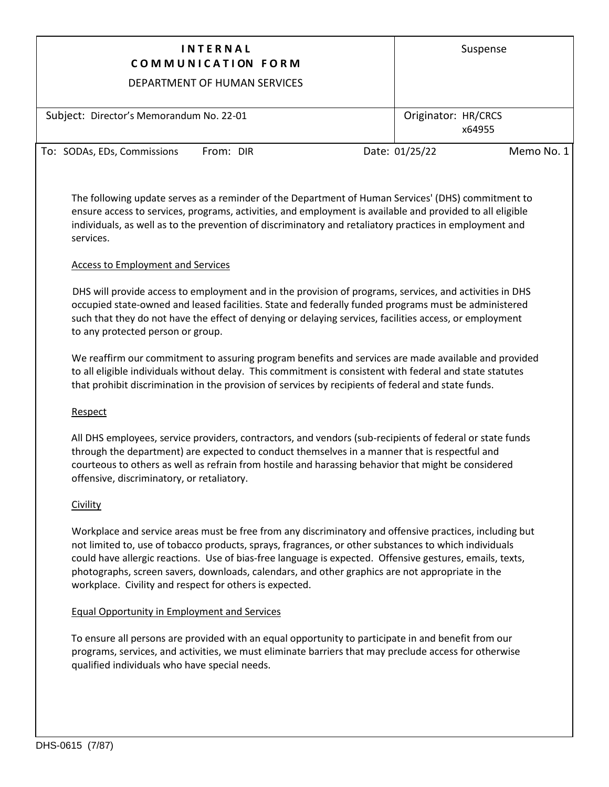| <b>INTERNAL</b><br>COMMUNICATION FORM                                                                                                                                                                                                                                                                                      | Suspense                      |  |  |  |  |
|----------------------------------------------------------------------------------------------------------------------------------------------------------------------------------------------------------------------------------------------------------------------------------------------------------------------------|-------------------------------|--|--|--|--|
| DEPARTMENT OF HUMAN SERVICES                                                                                                                                                                                                                                                                                               |                               |  |  |  |  |
| Subject: Director's Memorandum No. 22-01                                                                                                                                                                                                                                                                                   | Originator: HR/CRCS<br>x64955 |  |  |  |  |
| To: SODAs, EDs, Commissions<br>From: DIR                                                                                                                                                                                                                                                                                   | Date: 01/25/22<br>Memo No. 1  |  |  |  |  |
| The following update serves as a reminder of the Department of Human Services' (DHS) commitment to<br>ensure access to services, programs, activities, and employment is available and provided to all eligible<br>individuals, as well as to the prevention of discriminatory and retaliatory practices in employment and |                               |  |  |  |  |

# Access to Employment and Services

DHS will provide access to employment and in the provision of programs, services, and activities in DHS occupied state-owned and leased facilities. State and federally funded programs must be administered such that they do not have the effect of denying or delaying services, facilities access, or employment to any protected person or group.

We reaffirm our commitment to assuring program benefits and services are made available and provided to all eligible individuals without delay. This commitment is consistent with federal and state statutes that prohibit discrimination in the provision of services by recipients of federal and state funds.

## Respect

services.

All DHS employees, service providers, contractors, and vendors (sub-recipients of federal or state funds through the department) are expected to conduct themselves in a manner that is respectful and courteous to others as well as refrain from hostile and harassing behavior that might be considered offensive, discriminatory, or retaliatory.

## Civility

Workplace and service areas must be free from any discriminatory and offensive practices, including but not limited to, use of tobacco products, sprays, fragrances, or other substances to which individuals could have allergic reactions. Use of bias-free language is expected. Offensive gestures, emails, texts, photographs, screen savers, downloads, calendars, and other graphics are not appropriate in the workplace. Civility and respect for others is expected.

## Equal Opportunity in Employment and Services

To ensure all persons are provided with an equal opportunity to participate in and benefit from our programs, services, and activities, we must eliminate barriers that may preclude access for otherwise qualified individuals who have special needs.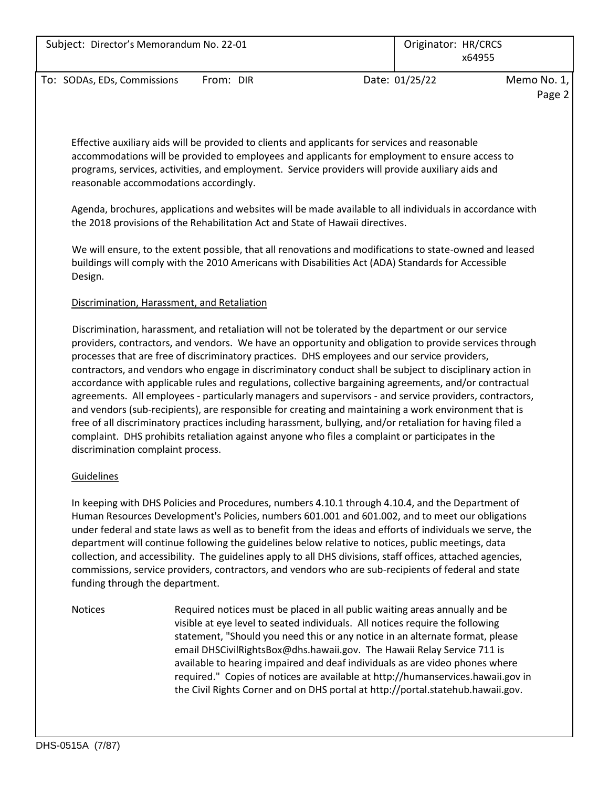| Subject: Director's Memorandum No. 22-01 |           | Originator: HR/CRCS<br>x64955 |                |             |
|------------------------------------------|-----------|-------------------------------|----------------|-------------|
| To: SODAs, EDs, Commissions              | From: DIR |                               | Date: 01/25/22 | Memo No. 1, |
|                                          |           |                               |                | Page 2      |

Effective auxiliary aids will be provided to clients and applicants for services and reasonable accommodations will be provided to employees and applicants for employment to ensure access to programs, services, activities, and employment. Service providers will provide auxiliary aids and reasonable accommodations accordingly.

Agenda, brochures, applications and websites will be made available to all individuals in accordance with the 2018 provisions of the Rehabilitation Act and State of Hawaii directives.

We will ensure, to the extent possible, that all renovations and modifications to state-owned and leased buildings will comply with the 2010 Americans with Disabilities Act (ADA) Standards for Accessible Design.

## Discrimination, Harassment, and Retaliation

Discrimination, harassment, and retaliation will not be tolerated by the department or our service providers, contractors, and vendors. We have an opportunity and obligation to provide services through processes that are free of discriminatory practices. DHS employees and our service providers, contractors, and vendors who engage in discriminatory conduct shall be subject to disciplinary action in accordance with applicable rules and regulations, collective bargaining agreements, and/or contractual agreements. All employees - particularly managers and supervisors - and service providers, contractors, and vendors (sub-recipients), are responsible for creating and maintaining a work environment that is free of all discriminatory practices including harassment, bullying, and/or retaliation for having filed a complaint. DHS prohibits retaliation against anyone who files a complaint or participates in the discrimination complaint process.

## **Guidelines**

In keeping with DHS Policies and Procedures, numbers 4.10.1 through 4.10.4, and the Department of Human Resources Development's Policies, numbers 601.001 and 601.002, and to meet our obligations under federal and state laws as well as to benefit from the ideas and efforts of individuals we serve, the department will continue following the guidelines below relative to notices, public meetings, data collection, and accessibility. The guidelines apply to all DHS divisions, staff offices, attached agencies, commissions, service providers, contractors, and vendors who are sub-recipients of federal and state funding through the department.

Notices Required notices must be placed in all public waiting areas annually and be visible at eye level to seated individuals. All notices require the following statement, "Should you need this or any notice in an alternate format, please email DHSCivilRightsBox@dhs.hawaii.gov. The Hawaii Relay Service 711 is available to hearing impaired and deaf individuals as are video phones where required." Copies of notices are available at http://humanservices.hawaii.gov in the Civil Rights Corner and on DHS portal at http://portal.statehub.hawaii.gov.